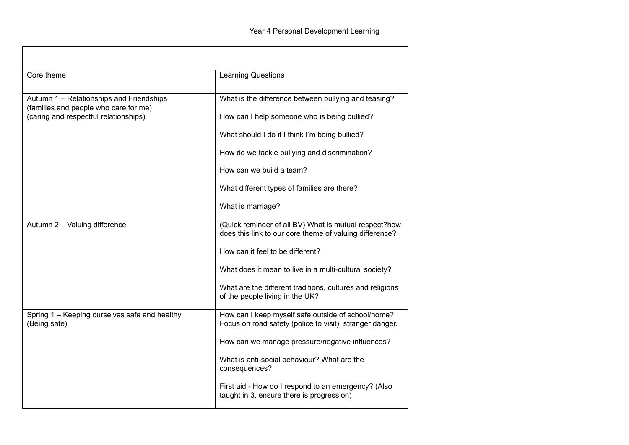| Core theme                                                                        | <b>Learning Questions</b>                                                                                        |
|-----------------------------------------------------------------------------------|------------------------------------------------------------------------------------------------------------------|
| Autumn 1 - Relationships and Friendships<br>(families and people who care for me) | What is the difference between bullying and teasing?                                                             |
| (caring and respectful relationships)                                             | How can I help someone who is being bullied?                                                                     |
|                                                                                   | What should I do if I think I'm being bullied?                                                                   |
|                                                                                   | How do we tackle bullying and discrimination?                                                                    |
|                                                                                   | How can we build a team?                                                                                         |
|                                                                                   | What different types of families are there?                                                                      |
|                                                                                   | What is marriage?                                                                                                |
| Autumn 2 - Valuing difference                                                     | (Quick reminder of all BV) What is mutual respect?how<br>does this link to our core theme of valuing difference? |
|                                                                                   | How can it feel to be different?                                                                                 |
|                                                                                   | What does it mean to live in a multi-cultural society?                                                           |
|                                                                                   | What are the different traditions, cultures and religions<br>of the people living in the UK?                     |
| Spring 1 - Keeping ourselves safe and healthy<br>(Being safe)                     | How can I keep myself safe outside of school/home?<br>Focus on road safety (police to visit), stranger danger.   |
|                                                                                   | How can we manage pressure/negative influences?                                                                  |
|                                                                                   | What is anti-social behaviour? What are the<br>consequences?                                                     |
|                                                                                   | First aid - How do I respond to an emergency? (Also<br>taught in 3, ensure there is progression)                 |

I